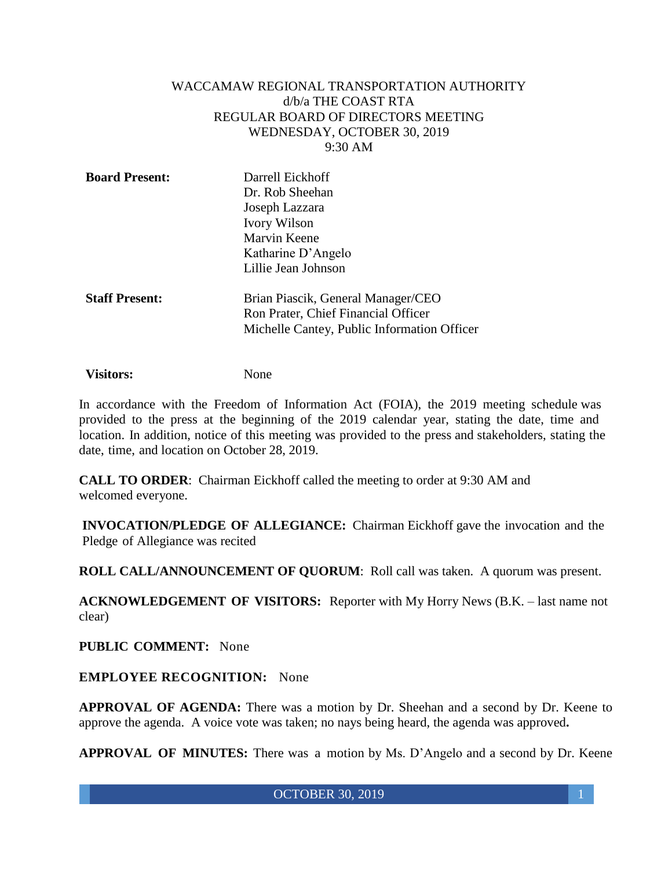#### WACCAMAW REGIONAL TRANSPORTATION AUTHORITY d/b/a THE COAST RTA REGULAR BOARD OF DIRECTORS MEETING WEDNESDAY, OCTOBER 30, 2019 9:30 AM

| <b>Board Present:</b> | Darrell Eickhoff<br>Dr. Rob Sheehan         |
|-----------------------|---------------------------------------------|
|                       | Joseph Lazzara                              |
|                       | <b>Ivory Wilson</b>                         |
|                       | Marvin Keene                                |
|                       | Katharine D'Angelo                          |
|                       | Lillie Jean Johnson                         |
| <b>Staff Present:</b> | Brian Piascik, General Manager/CEO          |
|                       | Ron Prater, Chief Financial Officer         |
|                       | Michelle Cantey, Public Information Officer |

**Visitors:** None

In accordance with the Freedom of Information Act (FOIA), the 2019 meeting schedule was provided to the press at the beginning of the 2019 calendar year, stating the date, time and location. In addition, notice of this meeting was provided to the press and stakeholders, stating the date, time, and location on October 28, 2019.

**CALL TO ORDER**: Chairman Eickhoff called the meeting to order at 9:30 AM and welcomed everyone.

**INVOCATION/PLEDGE OF ALLEGIANCE:** Chairman Eickhoff gave the invocation and the Pledge of Allegiance was recited

**ROLL CALL/ANNOUNCEMENT OF QUORUM**: Roll call was taken. A quorum was present.

**ACKNOWLEDGEMENT OF VISITORS:** Reporter with My Horry News (B.K. – last name not clear)

**PUBLIC COMMENT:** None

**EMPLOYEE RECOGNITION:** None

**APPROVAL OF AGENDA:** There was a motion by Dr. Sheehan and a second by Dr. Keene to approve the agenda. A voice vote was taken; no nays being heard, the agenda was approved**.**

**APPROVAL OF MINUTES:** There was a motion by Ms. D'Angelo and a second by Dr. Keene

**OCTOBER 30, 2019** 1 **1**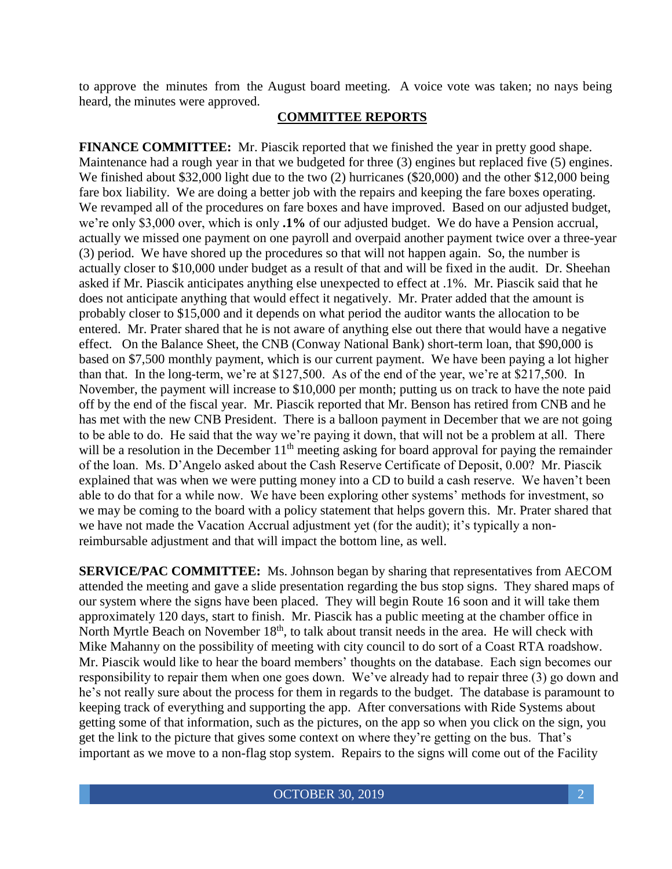to approve the minutes from the August board meeting. A voice vote was taken; no nays being heard, the minutes were approved.

### **COMMITTEE REPORTS**

**FINANCE COMMITTEE:** Mr. Piascik reported that we finished the year in pretty good shape. Maintenance had a rough year in that we budgeted for three (3) engines but replaced five (5) engines. We finished about \$32,000 light due to the two (2) hurricanes (\$20,000) and the other \$12,000 being fare box liability. We are doing a better job with the repairs and keeping the fare boxes operating. We revamped all of the procedures on fare boxes and have improved. Based on our adjusted budget, we're only \$3,000 over, which is only **.1%** of our adjusted budget. We do have a Pension accrual, actually we missed one payment on one payroll and overpaid another payment twice over a three-year (3) period. We have shored up the procedures so that will not happen again. So, the number is actually closer to \$10,000 under budget as a result of that and will be fixed in the audit. Dr. Sheehan asked if Mr. Piascik anticipates anything else unexpected to effect at .1%. Mr. Piascik said that he does not anticipate anything that would effect it negatively. Mr. Prater added that the amount is probably closer to \$15,000 and it depends on what period the auditor wants the allocation to be entered. Mr. Prater shared that he is not aware of anything else out there that would have a negative effect. On the Balance Sheet, the CNB (Conway National Bank) short-term loan, that \$90,000 is based on \$7,500 monthly payment, which is our current payment. We have been paying a lot higher than that. In the long-term, we're at \$127,500. As of the end of the year, we're at \$217,500. In November, the payment will increase to \$10,000 per month; putting us on track to have the note paid off by the end of the fiscal year. Mr. Piascik reported that Mr. Benson has retired from CNB and he has met with the new CNB President. There is a balloon payment in December that we are not going to be able to do. He said that the way we're paying it down, that will not be a problem at all. There will be a resolution in the December  $11<sup>th</sup>$  meeting asking for board approval for paying the remainder of the loan. Ms. D'Angelo asked about the Cash Reserve Certificate of Deposit, 0.00? Mr. Piascik explained that was when we were putting money into a CD to build a cash reserve. We haven't been able to do that for a while now. We have been exploring other systems' methods for investment, so we may be coming to the board with a policy statement that helps govern this. Mr. Prater shared that we have not made the Vacation Accrual adjustment yet (for the audit); it's typically a nonreimbursable adjustment and that will impact the bottom line, as well.

**SERVICE/PAC COMMITTEE:** Ms. Johnson began by sharing that representatives from AECOM attended the meeting and gave a slide presentation regarding the bus stop signs. They shared maps of our system where the signs have been placed. They will begin Route 16 soon and it will take them approximately 120 days, start to finish. Mr. Piascik has a public meeting at the chamber office in North Myrtle Beach on November 18<sup>th</sup>, to talk about transit needs in the area. He will check with Mike Mahanny on the possibility of meeting with city council to do sort of a Coast RTA roadshow. Mr. Piascik would like to hear the board members' thoughts on the database. Each sign becomes our responsibility to repair them when one goes down. We've already had to repair three (3) go down and he's not really sure about the process for them in regards to the budget. The database is paramount to keeping track of everything and supporting the app. After conversations with Ride Systems about getting some of that information, such as the pictures, on the app so when you click on the sign, you get the link to the picture that gives some context on where they're getting on the bus. That's important as we move to a non-flag stop system. Repairs to the signs will come out of the Facility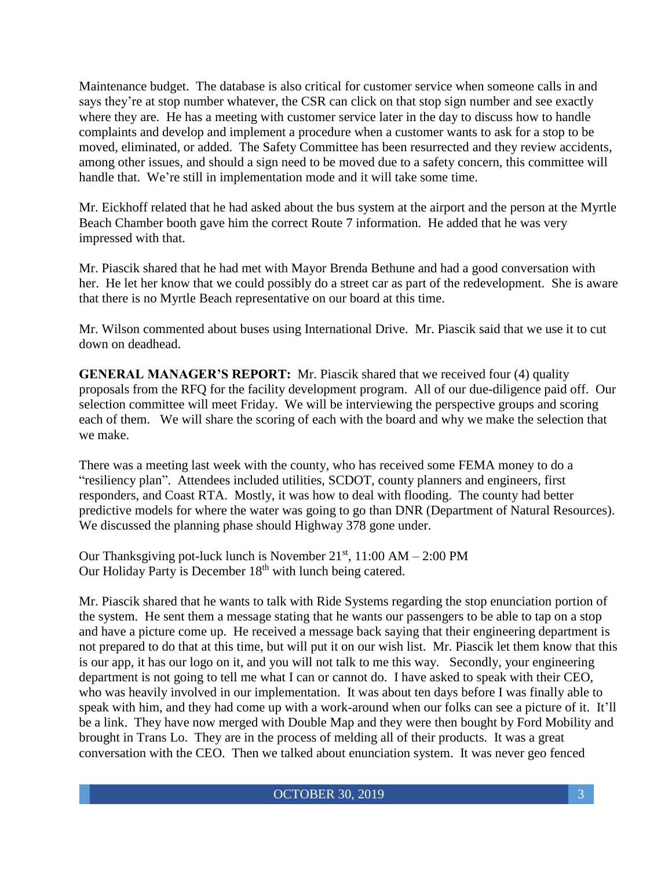Maintenance budget. The database is also critical for customer service when someone calls in and says they're at stop number whatever, the CSR can click on that stop sign number and see exactly where they are. He has a meeting with customer service later in the day to discuss how to handle complaints and develop and implement a procedure when a customer wants to ask for a stop to be moved, eliminated, or added. The Safety Committee has been resurrected and they review accidents, among other issues, and should a sign need to be moved due to a safety concern, this committee will handle that. We're still in implementation mode and it will take some time.

Mr. Eickhoff related that he had asked about the bus system at the airport and the person at the Myrtle Beach Chamber booth gave him the correct Route 7 information. He added that he was very impressed with that.

Mr. Piascik shared that he had met with Mayor Brenda Bethune and had a good conversation with her. He let her know that we could possibly do a street car as part of the redevelopment. She is aware that there is no Myrtle Beach representative on our board at this time.

Mr. Wilson commented about buses using International Drive. Mr. Piascik said that we use it to cut down on deadhead.

**GENERAL MANAGER'S REPORT:** Mr. Piascik shared that we received four (4) quality proposals from the RFQ for the facility development program. All of our due-diligence paid off. Our selection committee will meet Friday. We will be interviewing the perspective groups and scoring each of them. We will share the scoring of each with the board and why we make the selection that we make.

There was a meeting last week with the county, who has received some FEMA money to do a "resiliency plan". Attendees included utilities, SCDOT, county planners and engineers, first responders, and Coast RTA. Mostly, it was how to deal with flooding. The county had better predictive models for where the water was going to go than DNR (Department of Natural Resources). We discussed the planning phase should Highway 378 gone under.

Our Thanksgiving pot-luck lunch is November  $21<sup>st</sup>$ , 11:00 AM  $- 2:00$  PM Our Holiday Party is December 18<sup>th</sup> with lunch being catered.

Mr. Piascik shared that he wants to talk with Ride Systems regarding the stop enunciation portion of the system. He sent them a message stating that he wants our passengers to be able to tap on a stop and have a picture come up. He received a message back saying that their engineering department is not prepared to do that at this time, but will put it on our wish list. Mr. Piascik let them know that this is our app, it has our logo on it, and you will not talk to me this way. Secondly, your engineering department is not going to tell me what I can or cannot do. I have asked to speak with their CEO, who was heavily involved in our implementation. It was about ten days before I was finally able to speak with him, and they had come up with a work-around when our folks can see a picture of it. It'll be a link. They have now merged with Double Map and they were then bought by Ford Mobility and brought in Trans Lo. They are in the process of melding all of their products. It was a great conversation with the CEO. Then we talked about enunciation system. It was never geo fenced